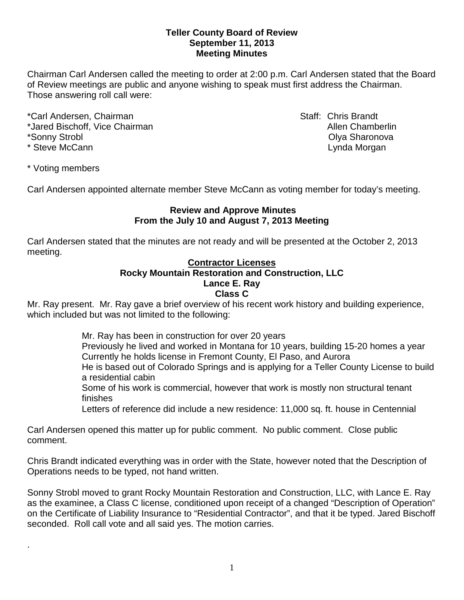#### **Teller County Board of Review September 11, 2013 Meeting Minutes**

Chairman Carl Andersen called the meeting to order at 2:00 p.m. Carl Andersen stated that the Board of Review meetings are public and anyone wishing to speak must first address the Chairman. Those answering roll call were:

\*Carl Andersen, Chairman Staff: Chris Brandt \*Jared Bischoff, Vice Chairman Allen Chamberlin Allen Chamberlin \*Sonny Strobl Olya Sharonova \* Steve McCann **Lynda Morgan** American Christian American Christian Lynda Morgan

\* Voting members

.

Carl Andersen appointed alternate member Steve McCann as voting member for today's meeting.

## **Review and Approve Minutes From the July 10 and August 7, 2013 Meeting**

Carl Andersen stated that the minutes are not ready and will be presented at the October 2, 2013 meeting.

#### **Contractor Licenses**

# **Rocky Mountain Restoration and Construction, LLC Lance E. Ray**

# **Class C**

Mr. Ray present. Mr. Ray gave a brief overview of his recent work history and building experience, which included but was not limited to the following:

> Mr. Ray has been in construction for over 20 years Previously he lived and worked in Montana for 10 years, building 15-20 homes a year Currently he holds license in Fremont County, El Paso, and Aurora He is based out of Colorado Springs and is applying for a Teller County License to build a residential cabin

Some of his work is commercial, however that work is mostly non structural tenant finishes

Letters of reference did include a new residence: 11,000 sq. ft. house in Centennial

Carl Andersen opened this matter up for public comment. No public comment. Close public comment.

Chris Brandt indicated everything was in order with the State, however noted that the Description of Operations needs to be typed, not hand written.

Sonny Strobl moved to grant Rocky Mountain Restoration and Construction, LLC, with Lance E. Ray as the examinee, a Class C license, conditioned upon receipt of a changed "Description of Operation" on the Certificate of Liability Insurance to "Residential Contractor", and that it be typed. Jared Bischoff seconded. Roll call vote and all said yes. The motion carries.